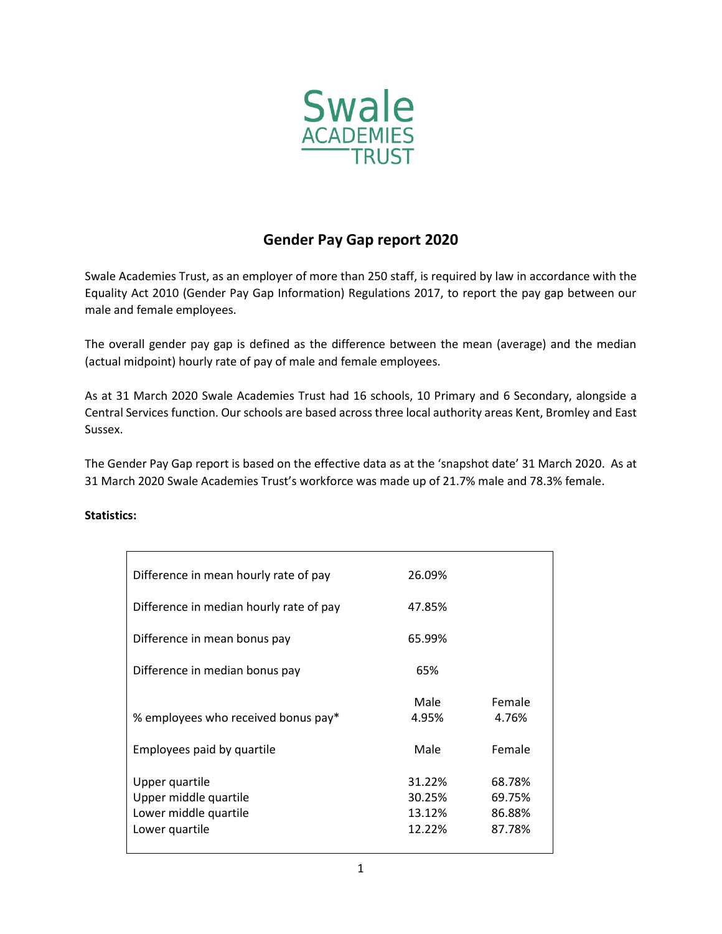

## **Gender Pay Gap report 2020**

Swale Academies Trust, as an employer of more than 250 staff, is required by law in accordance with the Equality Act 2010 (Gender Pay Gap Information) Regulations 2017, to report the pay gap between our male and female employees.

The overall gender pay gap is defined as the difference between the mean (average) and the median (actual midpoint) hourly rate of pay of male and female employees.

As at 31 March 2020 Swale Academies Trust had 16 schools, 10 Primary and 6 Secondary, alongside a Central Services function. Our schools are based across three local authority areas Kent, Bromley and East Sussex.

The Gender Pay Gap report is based on the effective data as at the 'snapshot date' 31 March 2020. As at 31 March 2020 Swale Academies Trust's workforce was made up of 21.7% male and 78.3% female.

## **Statistics:**

| Difference in mean hourly rate of pay                                              | 26.09%                               |                                      |
|------------------------------------------------------------------------------------|--------------------------------------|--------------------------------------|
| Difference in median hourly rate of pay                                            | 47.85%                               |                                      |
| Difference in mean bonus pay                                                       | 65.99%                               |                                      |
| Difference in median bonus pay                                                     | 65%                                  |                                      |
| % employees who received bonus pay*                                                | Male<br>4.95%                        | Female<br>4.76%                      |
| Employees paid by quartile                                                         | Male                                 | Female                               |
| Upper quartile<br>Upper middle quartile<br>Lower middle quartile<br>Lower quartile | 31.22%<br>30.25%<br>13.12%<br>12.22% | 68.78%<br>69.75%<br>86.88%<br>87.78% |